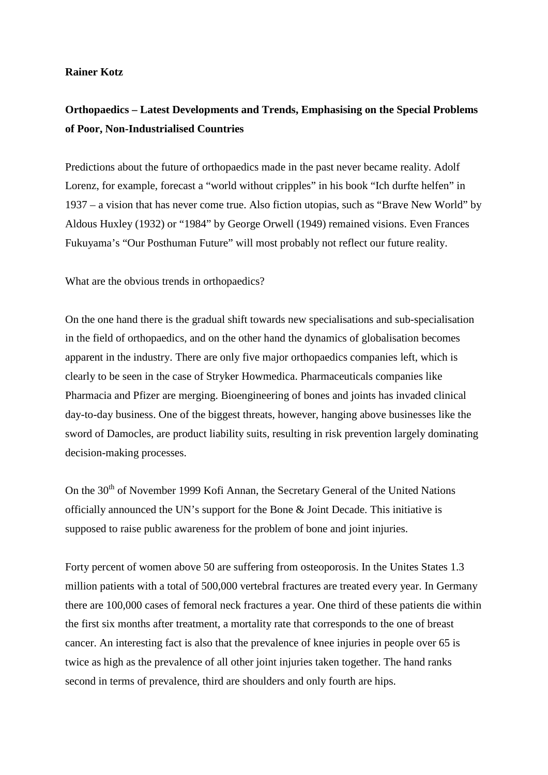## **Rainer Kotz**

## **Orthopaedics – Latest Developments and Trends, Emphasising on the Special Problems of Poor, Non-Industrialised Countries**

Predictions about the future of orthopaedics made in the past never became reality. Adolf Lorenz, for example, forecast a "world without cripples" in his book "Ich durfte helfen" in 1937 – a vision that has never come true. Also fiction utopias, such as "Brave New World" by Aldous Huxley (1932) or "1984" by George Orwell (1949) remained visions. Even Frances Fukuyama's "Our Posthuman Future" will most probably not reflect our future reality.

What are the obvious trends in orthopaedics?

On the one hand there is the gradual shift towards new specialisations and sub-specialisation in the field of orthopaedics, and on the other hand the dynamics of globalisation becomes apparent in the industry. There are only five major orthopaedics companies left, which is clearly to be seen in the case of Stryker Howmedica. Pharmaceuticals companies like Pharmacia and Pfizer are merging. Bioengineering of bones and joints has invaded clinical day-to-day business. One of the biggest threats, however, hanging above businesses like the sword of Damocles, are product liability suits, resulting in risk prevention largely dominating decision-making processes.

On the 30<sup>th</sup> of November 1999 Kofi Annan, the Secretary General of the United Nations officially announced the UN's support for the Bone & Joint Decade. This initiative is supposed to raise public awareness for the problem of bone and joint injuries.

Forty percent of women above 50 are suffering from osteoporosis. In the Unites States 1.3 million patients with a total of 500,000 vertebral fractures are treated every year. In Germany there are 100,000 cases of femoral neck fractures a year. One third of these patients die within the first six months after treatment, a mortality rate that corresponds to the one of breast cancer. An interesting fact is also that the prevalence of knee injuries in people over 65 is twice as high as the prevalence of all other joint injuries taken together. The hand ranks second in terms of prevalence, third are shoulders and only fourth are hips.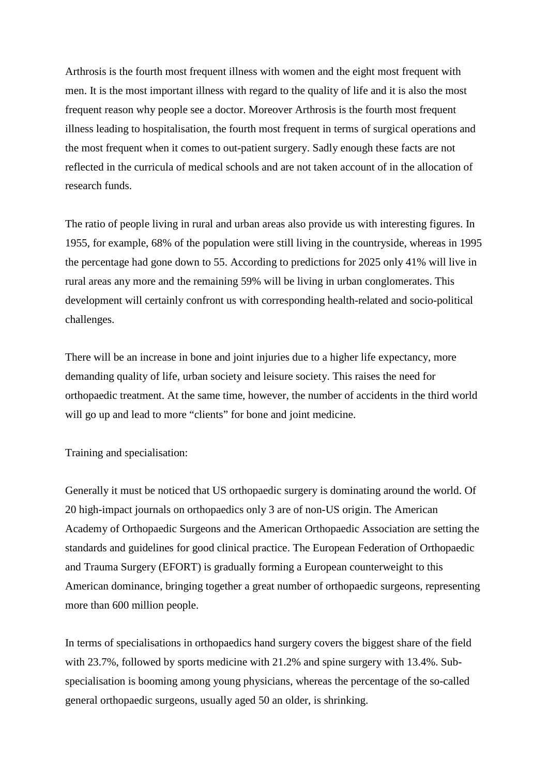Arthrosis is the fourth most frequent illness with women and the eight most frequent with men. It is the most important illness with regard to the quality of life and it is also the most frequent reason why people see a doctor. Moreover Arthrosis is the fourth most frequent illness leading to hospitalisation, the fourth most frequent in terms of surgical operations and the most frequent when it comes to out-patient surgery. Sadly enough these facts are not reflected in the curricula of medical schools and are not taken account of in the allocation of research funds.

The ratio of people living in rural and urban areas also provide us with interesting figures. In 1955, for example, 68% of the population were still living in the countryside, whereas in 1995 the percentage had gone down to 55. According to predictions for 2025 only 41% will live in rural areas any more and the remaining 59% will be living in urban conglomerates. This development will certainly confront us with corresponding health-related and socio-political challenges.

There will be an increase in bone and joint injuries due to a higher life expectancy, more demanding quality of life, urban society and leisure society. This raises the need for orthopaedic treatment. At the same time, however, the number of accidents in the third world will go up and lead to more "clients" for bone and joint medicine.

Training and specialisation:

Generally it must be noticed that US orthopaedic surgery is dominating around the world. Of 20 high-impact journals on orthopaedics only 3 are of non-US origin. The American Academy of Orthopaedic Surgeons and the American Orthopaedic Association are setting the standards and guidelines for good clinical practice. The European Federation of Orthopaedic and Trauma Surgery (EFORT) is gradually forming a European counterweight to this American dominance, bringing together a great number of orthopaedic surgeons, representing more than 600 million people.

In terms of specialisations in orthopaedics hand surgery covers the biggest share of the field with 23.7%, followed by sports medicine with 21.2% and spine surgery with 13.4%. Subspecialisation is booming among young physicians, whereas the percentage of the so-called general orthopaedic surgeons, usually aged 50 an older, is shrinking.